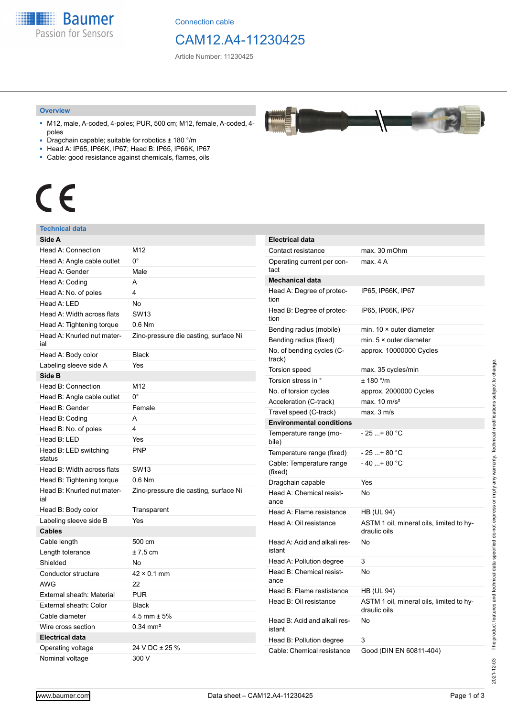**Baumer** Passion for Sensors

Connection cable

# CAM12.A4-11230425

Article Number: 11230425

#### **Overview**

- M12, male, A-coded, 4-poles; PUR, 500 cm; M12, female, A-coded, 4 poles
- Dragchain capable; suitable for robotics ± 180 °/m
- Head A: IP65, IP66K, IP67; Head B: IP65, IP66K, IP67
- Cable: good resistance against chemicals, flames, oils

# $\epsilon$

#### **Technical data**

| Side A                            |                                       |
|-----------------------------------|---------------------------------------|
| Head A: Connection                | M12                                   |
| Head A: Angle cable outlet        | 0°                                    |
| Head A: Gender                    | Male                                  |
| Head A: Coding                    | A                                     |
| Head A: No. of poles              | 4                                     |
| Head A: LED                       | No                                    |
| Head A: Width across flats        | <b>SW13</b>                           |
| Head A: Tightening torque         | $0.6$ Nm                              |
| Head A: Knurled nut mater-<br>ial | Zinc-pressure die casting, surface Ni |
| Head A: Body color                | <b>Black</b>                          |
| Labeling sleeve side A            | Yes                                   |
| Side B                            |                                       |
| Head B: Connection                | M12                                   |
| Head B: Angle cable outlet        | 0°                                    |
| Head B: Gender                    | Female                                |
| Head B: Coding                    | А                                     |
| Head B: No. of poles              | 4                                     |
| Head B: LED                       | Yes                                   |
| Head B: LED switching<br>status   | <b>PNP</b>                            |
| Head B: Width across flats        | <b>SW13</b>                           |
| Head B: Tightening torque         | $0.6$ Nm                              |
| Head B: Knurled nut mater-<br>ial | Zinc-pressure die casting, surface Ni |
| Head B: Body color                | Transparent                           |
| Labeling sleeve side B            | Yes                                   |
| <b>Cables</b>                     |                                       |
| Cable length                      | 500 cm                                |
| Length tolerance                  | $± 7.5$ cm                            |
| Shielded                          | No                                    |
| Conductor structure               | $42 \times 0.1$ mm                    |
| <b>AWG</b>                        | 22                                    |
| External sheath: Material         | <b>PUR</b>                            |
| External sheath: Color            | <b>Black</b>                          |
| Cable diameter                    | 4.5 mm $\pm$ 5%                       |
| Wire cross section                | $0.34 \text{ mm}^2$                   |
| <b>Electrical data</b>            |                                       |
| Operating voltage                 | 24 V DC ± 25 %                        |
| Nominal voltage                   | 300 V                                 |

| <b>Electrical data</b>                 |                                                          |
|----------------------------------------|----------------------------------------------------------|
| Contact resistance                     | max. 30 mOhm                                             |
| Operating current per con-<br>tact     | max. 4 A                                                 |
| <b>Mechanical data</b>                 |                                                          |
| Head A: Degree of protec-<br>tion      | IP65, IP66K, IP67                                        |
| Head B: Degree of protec-<br>tion      | IP65, IP66K, IP67                                        |
| Bending radius (mobile)                | min. $10 \times$ outer diameter                          |
| Bending radius (fixed)                 | min. $5 \times$ outer diameter                           |
| No. of bending cycles (C-<br>track)    | approx. 10000000 Cycles                                  |
| <b>Torsion speed</b>                   | max. 35 cycles/min                                       |
| Torsion stress in °                    | ± 180 °/m                                                |
| No. of torsion cycles                  | approx. 2000000 Cycles                                   |
| Acceleration (C-track)                 | max. $10 \text{ m/s}^2$                                  |
| Travel speed (C-track)                 | max. 3 m/s                                               |
| <b>Environmental conditions</b>        |                                                          |
| Temperature range (mo-<br>bile)        | - 25 + 80 °C                                             |
| Temperature range (fixed)              | - 25 + 80 °C                                             |
| Cable: Temperature range<br>(fixed)    | - 40 + 80 °C                                             |
| Dragchain capable                      | Yes                                                      |
| Head A: Chemical resist-<br>ance       | No                                                       |
| Head A: Flame resistance               | <b>HB (UL 94)</b>                                        |
| Head A: Oil resistance                 | ASTM 1 oil, mineral oils, limited to hy-<br>draulic oils |
| Head A: Acid and alkali res-<br>istant | No                                                       |
| Head A: Pollution degree               | 3                                                        |
| Head B: Chemical resist-<br>ance       | No                                                       |
| Head B: Flame restistance              | HB (UL 94)                                               |
| Head B: Oil resistance                 | ASTM 1 oil, mineral oils, limited to hy-<br>draulic oils |
| Head B: Acid and alkali res-<br>istant | No                                                       |
| Head B: Pollution degree               | 3                                                        |
| Cable: Chemical resistance             | Good (DIN EN 60811-404)                                  |

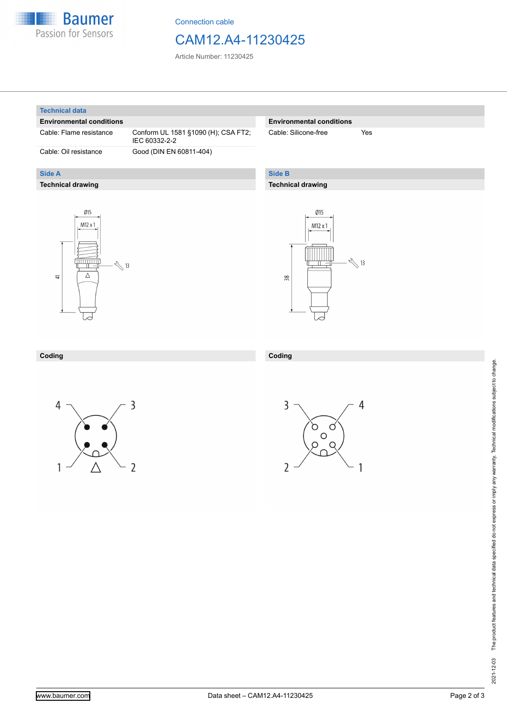

Connection cable

### CAM12.A4-11230425

Article Number: 11230425

#### **Technical data**

**Side A**

#### **Environmental conditions**

**Technical drawing**

Cable: Flame resistance Conform UL 1581 §1090 (H); CSA FT2; IEC 60332-2-2 Cable: Oil resistance Good (DIN EN 60811-404)

#### **Environmental conditions**

Cable: Silicone-free Yes

#### **Side B**

**Coding**

#### **Technical drawing**





#### **Coding**